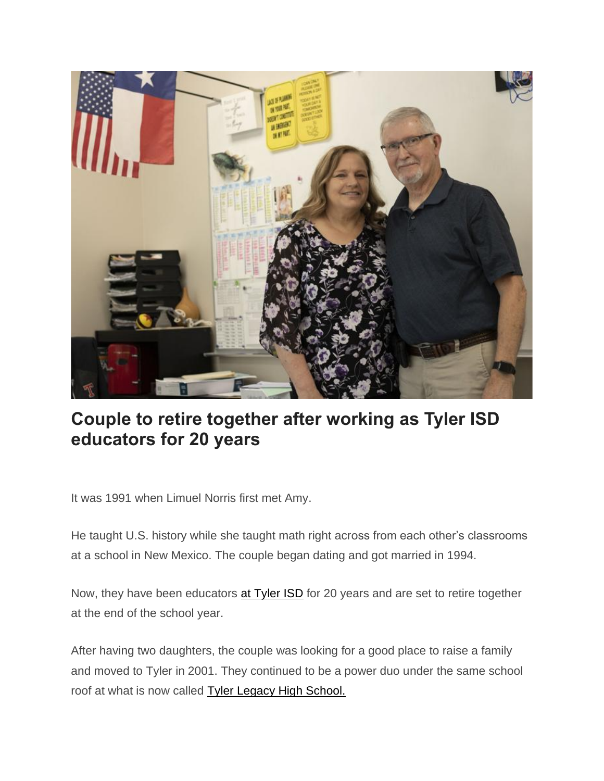

## **Couple to retire together after working as Tyler ISD educators for 20 years**

It was 1991 when Limuel Norris first met Amy.

He taught U.S. history while she taught math right across from each other's classrooms at a school in New Mexico. The couple began dating and got married in 1994.

Now, they have been educators [at Tyler ISD](https://tylerpaper.com/tncms/asset/editorial/1bb1cbd6-c5b4-11ec-bf36-e3dd686b409e) for 20 years and are set to retire together at the end of the school year.

After having two daughters, the couple was looking for a good place to raise a family and moved to Tyler in 2001. They continued to be a power duo under the same school roof at what is now called [Tyler Legacy High School.](https://tylerpaper.com/tncms/asset/editorial/ebec4a80-fd85-11eb-a0b0-1fc5fcb76cc1)